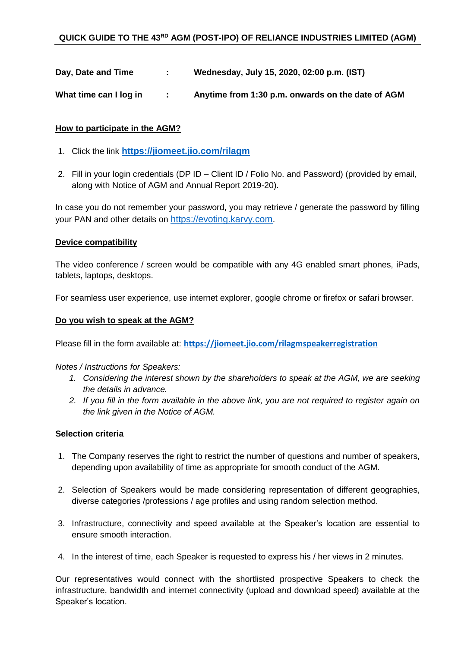**Day, Date and Time : Wednesday, July 15, 2020, 02:00 p.m. (IST)**

**What time can I log in : Anytime from 1:30 p.m. onwards on the date of AGM**

### **How to participate in the AGM?**

- 1. Click the link **<https://jiomeet.jio.com/rilagm>**
- 2. Fill in your login credentials (DP ID Client ID / Folio No. and Password) (provided by email, along with Notice of AGM and Annual Report 2019-20).

In case you do not remember your password, you may retrieve / generate the password by filling your PAN and other details on [https://evoting.karvy.com](https://evoting.karvy.com/).

#### **Device compatibility**

The video conference / screen would be compatible with any 4G enabled smart phones, iPads, tablets, laptops, desktops.

For seamless user experience, use internet explorer, google chrome or firefox or safari browser.

## **Do you wish to speak at the AGM?**

Please fill in the form available at: **<https://jiomeet.jio.com/rilagmspeakerregistration>**

*Notes / Instructions for Speakers:*

- *1. Considering the interest shown by the shareholders to speak at the AGM, we are seeking the details in advance.*
- *2. If you fill in the form available in the above link, you are not required to register again on the link given in the Notice of AGM.*

#### **Selection criteria**

- 1. The Company reserves the right to restrict the number of questions and number of speakers, depending upon availability of time as appropriate for smooth conduct of the AGM.
- 2. Selection of Speakers would be made considering representation of different geographies, diverse categories /professions / age profiles and using random selection method.
- 3. Infrastructure, connectivity and speed available at the Speaker's location are essential to ensure smooth interaction.
- 4. In the interest of time, each Speaker is requested to express his / her views in 2 minutes.

Our representatives would connect with the shortlisted prospective Speakers to check the infrastructure, bandwidth and internet connectivity (upload and download speed) available at the Speaker's location.